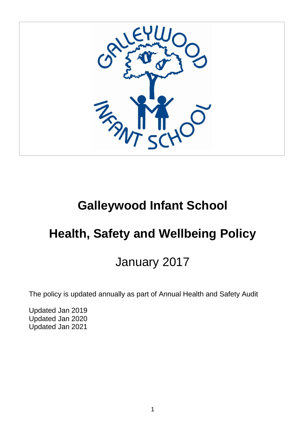

# **Galleywood Infant School**

# **Health, Safety and Wellbeing Policy**

# January 2017

The policy is updated annually as part of Annual Health and Safety Audit

Updated Jan 2019 Updated Jan 2020 Updated Jan 2021

 $\overline{a}$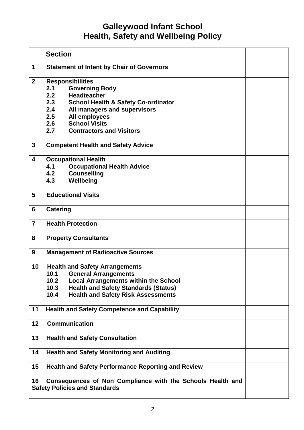# **Galleywood Infant School Health, Safety and Wellbeing Policy**

|                                                                                                          | <b>Section</b>                                                                                                                                                                                                                                                                        |  |  |  |
|----------------------------------------------------------------------------------------------------------|---------------------------------------------------------------------------------------------------------------------------------------------------------------------------------------------------------------------------------------------------------------------------------------|--|--|--|
| 1                                                                                                        | <b>Statement of Intent by Chair of Governors</b>                                                                                                                                                                                                                                      |  |  |  |
| $\overline{2}$                                                                                           | <b>Responsibilities</b><br><b>Governing Body</b><br>2.1<br><b>Headteacher</b><br>2.2<br>2.3<br><b>School Health &amp; Safety Co-ordinator</b><br>2.4<br>All managers and supervisors<br>All employees<br>2.5<br><b>School Visits</b><br>2.6<br><b>Contractors and Visitors</b><br>2.7 |  |  |  |
| $\mathbf{3}$                                                                                             | <b>Competent Health and Safety Advice</b>                                                                                                                                                                                                                                             |  |  |  |
| $\overline{\mathbf{4}}$                                                                                  | <b>Occupational Health</b><br>4.1<br><b>Occupational Health Advice</b><br><b>Counselling</b><br>4.2<br>4.3<br>Wellbeing                                                                                                                                                               |  |  |  |
| 5                                                                                                        | <b>Educational Visits</b>                                                                                                                                                                                                                                                             |  |  |  |
| 6                                                                                                        | <b>Catering</b>                                                                                                                                                                                                                                                                       |  |  |  |
| $\overline{7}$                                                                                           | <b>Health Protection</b>                                                                                                                                                                                                                                                              |  |  |  |
| 8                                                                                                        | <b>Property Consultants</b>                                                                                                                                                                                                                                                           |  |  |  |
| 9                                                                                                        | <b>Management of Radioactive Sources</b>                                                                                                                                                                                                                                              |  |  |  |
| 10                                                                                                       | <b>Health and Safety Arrangements</b><br>10.1<br><b>General Arrangements</b><br>10.2<br><b>Local Arrangements within the School</b><br>10.3<br><b>Health and Safety Standards (Status)</b><br>10.4<br><b>Health and Safety Risk Assessments</b>                                       |  |  |  |
| 11                                                                                                       | <b>Health and Safety Competence and Capability</b>                                                                                                                                                                                                                                    |  |  |  |
| 12                                                                                                       | <b>Communication</b>                                                                                                                                                                                                                                                                  |  |  |  |
| 13                                                                                                       | <b>Health and Safety Consultation</b>                                                                                                                                                                                                                                                 |  |  |  |
| 14                                                                                                       | <b>Health and Safety Monitoring and Auditing</b>                                                                                                                                                                                                                                      |  |  |  |
| 15                                                                                                       | <b>Health and Safety Performance Reporting and Review</b>                                                                                                                                                                                                                             |  |  |  |
| Consequences of Non Compliance with the Schools Health and<br>16<br><b>Safety Policies and Standards</b> |                                                                                                                                                                                                                                                                                       |  |  |  |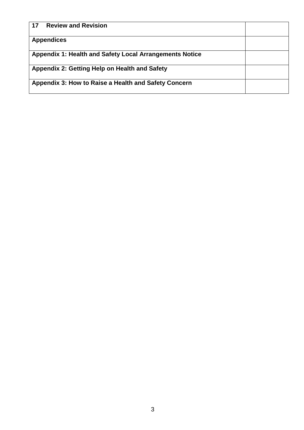| <b>Review and Revision</b><br>17                               |  |
|----------------------------------------------------------------|--|
| <b>Appendices</b>                                              |  |
| <b>Appendix 1: Health and Safety Local Arrangements Notice</b> |  |
| Appendix 2: Getting Help on Health and Safety                  |  |
| Appendix 3: How to Raise a Health and Safety Concern           |  |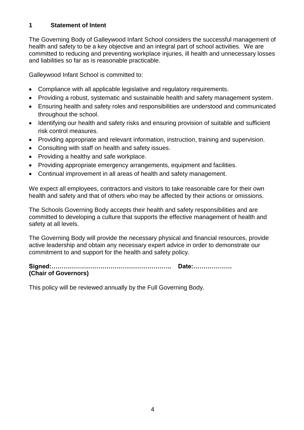#### **1 Statement of Intent**

The Governing Body of Galleywood Infant School considers the successful management of health and safety to be a key objective and an integral part of school activities. We are committed to reducing and preventing workplace injuries, ill health and unnecessary losses and liabilities so far as is reasonable practicable.

Galleywood Infant School is committed to:

- Compliance with all applicable legislative and regulatory requirements.
- Providing a robust, systematic and sustainable health and safety management system.
- Ensuring health and safety roles and responsibilities are understood and communicated throughout the school.
- Identifying our health and safety risks and ensuring provision of suitable and sufficient risk control measures.
- Providing appropriate and relevant information, instruction, training and supervision.
- Consulting with staff on health and safety issues.
- Providing a healthy and safe workplace.
- Providing appropriate emergency arrangements, equipment and facilities.
- Continual improvement in all areas of health and safety management.

We expect all employees, contractors and visitors to take reasonable care for their own health and safety and that of others who may be affected by their actions or omissions.

The Schools Governing Body accepts their health and safety responsibilities and are committed to developing a culture that supports the effective management of health and safety at all levels.

The Governing Body will provide the necessary physical and financial resources, provide active leadership and obtain any necessary expert advice in order to demonstrate our commitment to and support for the health and safety policy.

**Signed:………………………………………………….. Date:………………. (Chair of Governors)**

This policy will be reviewed annually by the Full Governing Body.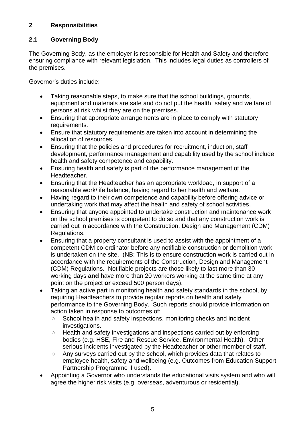# **2 Responsibilities**

# **2.1 Governing Body**

The Governing Body, as the employer is responsible for Health and Safety and therefore ensuring compliance with relevant legislation. This includes legal duties as controllers of the premises.

Governor's duties include:

- Taking reasonable steps, to make sure that the school buildings, grounds, equipment and materials are safe and do not put the health, safety and welfare of persons at risk whilst they are on the premises.
- Ensuring that appropriate arrangements are in place to comply with statutory requirements.
- Ensure that statutory requirements are taken into account in determining the allocation of resources.
- Ensuring that the policies and procedures for recruitment, induction, staff development, performance management and capability used by the school include health and safety competence and capability.
- Ensuring health and safety is part of the performance management of the Headteacher.
- Ensuring that the Headteacher has an appropriate workload, in support of a reasonable work/life balance, having regard to her health and welfare.
- Having regard to their own competence and capability before offering advice or undertaking work that may affect the health and safety of school activities.
- Ensuring that anyone appointed to undertake construction and maintenance work on the school premises is competent to do so and that any construction work is carried out in accordance with the Construction, Design and Management (CDM) Regulations.
- Ensuring that a property consultant is used to assist with the appointment of a competent CDM co-ordinator before any notifiable construction or demolition work is undertaken on the site. (NB: This is to ensure construction work is carried out in accordance with the requirements of the Construction, Design and Management (CDM) Regulations. Notifiable projects are those likely to last more than 30 working days **and** have more than 20 workers working at the same time at any point on the project **or** exceed 500 person days).
- Taking an active part in monitoring health and safety standards in the school, by requiring Headteachers to provide regular reports on health and safety performance to the Governing Body. Such reports should provide information on action taken in response to outcomes of:
	- School health and safety inspections, monitoring checks and incident investigations.
	- Health and safety investigations and inspections carried out by enforcing bodies (e.g. HSE, Fire and Rescue Service, Environmental Health). Other serious incidents investigated by the Headteacher or other member of staff.
	- Any surveys carried out by the school, which provides data that relates to employee health, safety and wellbeing (e.g. Outcomes from Education Support Partnership Programme if used).
- Appointing a Governor who understands the educational visits system and who will agree the higher risk visits (e.g. overseas, adventurous or residential).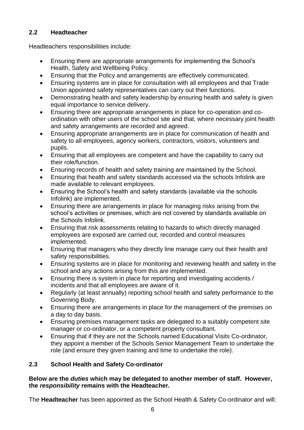# **2.2 Headteacher**

Headteachers responsibilities include:

- Ensuring there are appropriate arrangements for implementing the School's Health, Safety and Wellbeing Policy.
- Ensuring that the Policy and arrangements are effectively communicated.
- Ensuring systems are in place for consultation with all employees and that Trade Union appointed safety representatives can carry out their functions.
- Demonstrating health and safety leadership by ensuring health and safety is given equal importance to service delivery.
- Ensuring there are appropriate arrangements in place for co-operation and coordination with other users of the school site and that, where necessary joint health and safety arrangements are recorded and agreed.
- Ensuring appropriate arrangements are in place for communication of health and safety to all employees, agency workers, contractors, visitors, volunteers and pupils.
- Ensuring that all employees are competent and have the capability to carry out their role/function.
- Ensuring records of health and safety training are maintained by the School.
- Ensuring that health and safety standards accessed via the schools Infolink are made available to relevant employees.
- Ensuring the School's health and safety standards (available via the schools Infolink) are implemented.
- Ensuring there are arrangements in place for managing risks arising from the school's activities or premises, which are not covered by standards available on the Schools Infolink.
- Ensuring that risk assessments relating to hazards to which directly managed employees are exposed are carried out, recorded and control measures implemented.
- Ensuring that managers who they directly line manage carry out their health and safety responsibilities.
- Ensuring systems are in place for monitoring and reviewing health and safety in the school and any actions arising from this are implemented.
- Ensuring there is system in place for reporting and investigating accidents / incidents and that all employees are aware of it.
- Regularly (at least annually) reporting school health and safety performance to the Governing Body.
- Ensuring there are arrangements in place for the management of the premises on a day to day basis.
- Ensuring premises management tasks are delegated to a suitably competent site manager or co-ordinator, or a competent property consultant.
- Ensuring that if they are not the Schools named Educational Visits Co-ordinator, they appoint a member of the Schools Senior Management Team to undertake the role (and ensure they given training and time to undertake the role).

# **2.3 School Health and Safety Co-ordinator**

#### **Below are the** *duties* **which may be delegated to another member of staff. However, the** *responsibility* **remains with the Headteacher.**

The **Headteacher** has been appointed as the School Health & Safety Co-ordinator and will: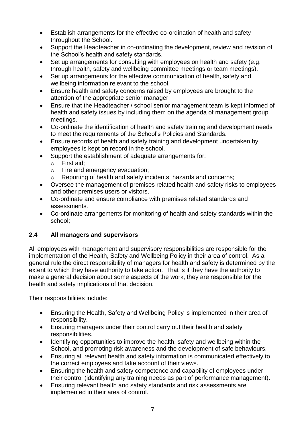- Establish arrangements for the effective co-ordination of health and safety throughout the School.
- Support the Headteacher in co-ordinating the development, review and revision of the School's health and safety standards.
- Set up arrangements for consulting with employees on health and safety (e.g. through health, safety and wellbeing committee meetings or team meetings).
- Set up arrangements for the effective communication of health, safety and wellbeing information relevant to the school.
- Ensure health and safety concerns raised by employees are brought to the attention of the appropriate senior manager.
- Ensure that the Headteacher / school senior management team is kept informed of health and safety issues by including them on the agenda of management group meetings.
- Co-ordinate the identification of health and safety training and development needs to meet the requirements of the School's Policies and Standards.
- Ensure records of health and safety training and development undertaken by employees is kept on record in the school.
- Support the establishment of adequate arrangements for:
	- o First aid;
	- o Fire and emergency evacuation;
	- o Reporting of health and safety incidents, hazards and concerns;
- Oversee the management of premises related health and safety risks to employees and other premises users or visitors.
- Co-ordinate and ensure compliance with premises related standards and assessments.
- Co-ordinate arrangements for monitoring of health and safety standards within the school;

# **2.4 All managers and supervisors**

All employees with management and supervisory responsibilities are responsible for the implementation of the Health, Safety and Wellbeing Policy in their area of control. As a general rule the direct responsibility of managers for health and safety is determined by the extent to which they have authority to take action. That is if they have the authority to make a general decision about some aspects of the work, they are responsible for the health and safety implications of that decision.

Their responsibilities include:

- Ensuring the Health, Safety and Wellbeing Policy is implemented in their area of responsibility.
- Ensuring managers under their control carry out their health and safety responsibilities.
- Identifying opportunities to improve the health, safety and wellbeing within the School, and promoting risk awareness and the development of safe behaviours.
- Ensuring all relevant health and safety information is communicated effectively to the correct employees and take account of their views.
- Ensuring the health and safety competence and capability of employees under their control (identifying any training needs as part of performance management).
- Ensuring relevant health and safety standards and risk assessments are implemented in their area of control.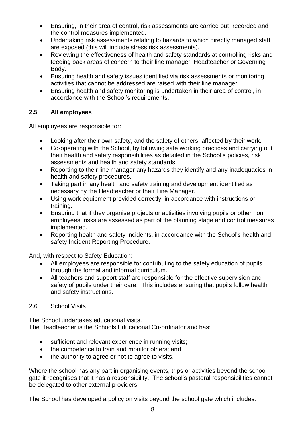- Ensuring, in their area of control, risk assessments are carried out, recorded and the control measures implemented.
- Undertaking risk assessments relating to hazards to which directly managed staff are exposed (this will include stress risk assessments).
- Reviewing the effectiveness of health and safety standards at controlling risks and feeding back areas of concern to their line manager, Headteacher or Governing Body.
- Ensuring health and safety issues identified via risk assessments or monitoring activities that cannot be addressed are raised with their line manager.
- Ensuring health and safety monitoring is undertaken in their area of control, in accordance with the School's requirements.

# **2.5 All employees**

All employees are responsible for:

- Looking after their own safety, and the safety of others, affected by their work.
- Co-operating with the School, by following safe working practices and carrying out their health and safety responsibilities as detailed in the School's policies, risk assessments and health and safety standards.
- Reporting to their line manager any hazards they identify and any inadequacies in health and safety procedures.
- Taking part in any health and safety training and development identified as necessary by the Headteacher or their Line Manager.
- Using work equipment provided correctly, in accordance with instructions or training.
- Ensuring that if they organise projects or activities involving pupils or other non employees, risks are assessed as part of the planning stage and control measures implemented.
- Reporting health and safety incidents, in accordance with the School's health and safety Incident Reporting Procedure.

And, with respect to Safety Education:

- All employees are responsible for contributing to the safety education of pupils through the formal and informal curriculum.
- All teachers and support staff are responsible for the effective supervision and safety of pupils under their care. This includes ensuring that pupils follow health and safety instructions.

# 2.6 School Visits

The School undertakes educational visits. The Headteacher is the Schools Educational Co-ordinator and has:

- sufficient and relevant experience in running visits;
- the competence to train and monitor others: and
- the authority to agree or not to agree to visits.

Where the school has any part in organising events, trips or activities beyond the school gate it recognises that it has a responsibility. The school's pastoral responsibilities cannot be delegated to other external providers.

The School has developed a policy on visits beyond the school gate which includes: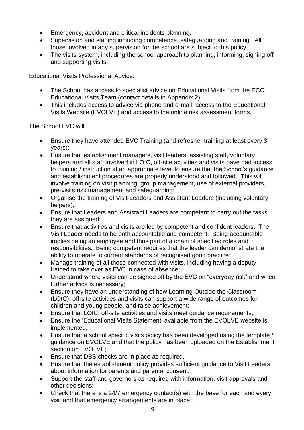- Emergency, accident and critical incidents planning.
- Supervision and staffing including competence, safeguarding and training. All those involved in any supervision for the school are subject to this policy.
- The visits system, including the school approach to planning, informing, signing off and supporting visits.

Educational Visits Professional Advice:

- The School has access to specialist advice on Educational Visits from the ECC Educational Visits Team (contact details in Appendix 2).
- This includes access to advice via phone and e-mail, access to the Educational Visits Website (EVOLVE) and access to the online risk assessment forms.

The School EVC will:

- Ensure they have attended EVC Training (and refresher training at least every 3 years);
- Ensure that establishment managers, visit leaders, assisting staff, voluntary helpers and all staff involved in LOtC, off-site activities and visits have had access to training / instruction at an appropriate level to ensure that the School's guidance and establishment procedures are properly understood and followed. This will involve training on visit planning, group management, use of external providers, pre-visits risk management and safeguarding;
- Organise the training of Visit Leaders and Assistant Leaders (including voluntary helpers);
- Ensure that Leaders and Assistant Leaders are competent to carry out the tasks they are assigned;
- Ensure that activities and visits are led by competent and confident leaders. The Visit Leader needs to be both accountable and competent. Being accountable implies being an employee and thus part of a chain of specified roles and responsibilities. Being competent requires that the leader can demonstrate the ability to operate to current standards of recognised good practice;
- Manage training of all those connected with visits, including having a deputy trained to take over as EVC in case of absence;
- Understand where visits can be signed off by the EVC on "everyday risk" and when further advice is necessary;
- Ensure they have an understanding of how Learning Outside the Classroom (LOtC), off-site activities and visits can support a wide range of outcomes for children and young people, and raise achievement;
- Ensure that LOtC, off-site activities and visits meet guidance requirements;
- Ensure the 'Educational Visits Statement' available from the EVOLVE website is implemented;
- Ensure that a school specific visits policy has been developed using the template / guidance on EVOLVE and that the policy has been uploaded on the Establishment section on EVOLVE;
- Ensure that DBS checks are in place as required.
- Ensure that the establishment policy provides sufficient guidance to Visit Leaders about information for parents and parental consent;
- Support the staff and governors as required with information, visit approvals and other decisions;
- Check that there is a 24/7 emergency contact(s) with the base for each and every visit and that emergency arrangements are in place;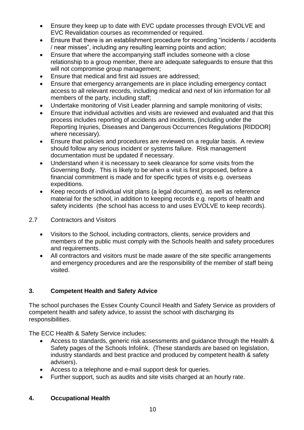- Ensure they keep up to date with EVC update processes through EVOLVE and EVC Revalidation courses as recommended or required.
- Ensure that there is an establishment procedure for recording "incidents / accidents / near misses", including any resulting learning points and action;
- Ensure that where the accompanying staff includes someone with a close relationship to a group member, there are adequate safeguards to ensure that this will not compromise group management;
- Ensure that medical and first aid issues are addressed;
- Ensure that emergency arrangements are in place including emergency contact access to all relevant records, including medical and next of kin information for all members of the party, including staff;
- Undertake monitoring of Visit Leader planning and sample monitoring of visits;
- Ensure that individual activities and visits are reviewed and evaluated and that this process includes reporting of accidents and incidents, (including under the Reporting Injuries, Diseases and Dangerous Occurrences Regulations [RIDDOR] where necessary).
- Ensure that policies and procedures are reviewed on a regular basis. A review should follow any serious incident or systems failure. Risk management documentation must be updated if necessary.
- Understand when it is necessary to seek clearance for some visits from the Governing Body. This is likely to be when a visit is first proposed, before a financial commitment is made and for specific types of visits e.g. overseas expeditions.
- Keep records of individual visit plans (a legal document), as well as reference material for the school, in addition to keeping records e.g. reports of health and safety incidents (the school has access to and uses EVOLVE to keep records).

#### 2.7 Contractors and Visitors

- Visitors to the School, including contractors, clients, service providers and members of the public must comply with the Schools health and safety procedures and requirements.
- All contractors and visitors must be made aware of the site specific arrangements and emergency procedures and are the responsibility of the member of staff being visited.

# **3. Competent Health and Safety Advice**

The school purchases the Essex County Council Health and Safety Service as providers of competent health and safety advice, to assist the school with discharging its responsibilities.

The ECC Health & Safety Service includes:

- Access to standards, generic risk assessments and guidance through the Health & Safety pages of the Schools Infolink. (These standards are based on legislation, industry standards and best practice and produced by competent health & safety advisers).
- Access to a telephone and e-mail support desk for queries.
- Further support, such as audits and site visits charged at an hourly rate.

# **4. Occupational Health**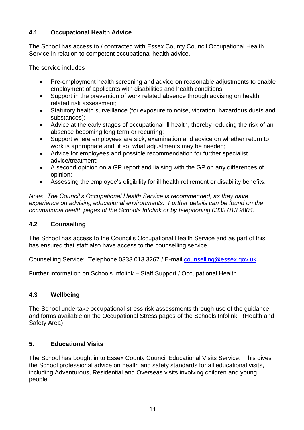# **4.1 Occupational Health Advice**

The School has access to / contracted with Essex County Council Occupational Health Service in relation to competent occupational health advice.

The service includes

- Pre-employment health screening and advice on reasonable adjustments to enable employment of applicants with disabilities and health conditions;
- Support in the prevention of work related absence through advising on health related risk assessment;
- Statutory health surveillance (for exposure to noise, vibration, hazardous dusts and substances);
- Advice at the early stages of occupational ill health, thereby reducing the risk of an absence becoming long term or recurring;
- Support where employees are sick, examination and advice on whether return to work is appropriate and, if so, what adjustments may be needed;
- Advice for employees and possible recommendation for further specialist advice/treatment;
- A second opinion on a GP report and liaising with the GP on any differences of opinion;
- Assessing the employee's eligibility for ill health retirement or disability benefits.

*Note: The Council's Occupational Health Service is recommended, as they have experience on advising educational environments. Further details can be found on the occupational health pages of the Schools Infolink or by telephoning 0333 013 9804.*

# **4.2 Counselling**

The School has access to the Council's Occupational Health Service and as part of this has ensured that staff also have access to the counselling service

Counselling Service: Telephone 0333 013 3267 / E-mail [counselling@essex.gov.uk](mailto:counselling@essex.gov.uk)

Further information on Schools Infolink – Staff Support / Occupational Health

# **4.3 Wellbeing**

The School undertake occupational stress risk assessments through use of the guidance and forms available on the Occupational Stress pages of the Schools Infolink. (Health and Safety Area)

# **5. Educational Visits**

The School has bought in to Essex County Council Educational Visits Service. This gives the School professional advice on health and safety standards for all educational visits, including Adventurous, Residential and Overseas visits involving children and young people.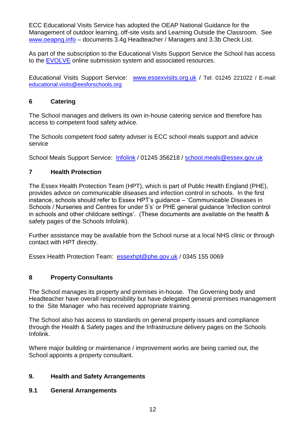ECC Educational Visits Service has adopted the OEAP National Guidance for the Management of outdoor learning, off-site visits and Learning Outside the Classroom. See [www.oeapng.info](http://www.oeapng.info/) – documents 3.4g Headteacher / Managers and 3.3b Check List.

As part of the subscription to the Educational Visits Support Service the School has access to the [EVOLVE](https://evolve.edufocus.co.uk/evco10/evchome_public.asp?domain=essexvisits.org.uk) online submission system and associated resources.

Educational Visits Support Service: [www.essexvisits.org.uk](http://www.essexvisits.org.uk/) / Tel: 01245 221022 / E-mail: [educational.visits@eesforschools.org](mailto:educational.visits@eesforschools.org)

#### **6 Catering**

The School manages and delivers its own in-house catering service and therefore has access to competent food safety advice.

The Schools competent food safety adviser is ECC school meals support and advice service

School Meals Support Service: [Infolink](https://schools-secure.essex.gov.uk/admin/SchoolMeals/Pages/SchoolMeals.aspx) / 01245 356218 / [school.meals@essex.gov.uk](mailto:school.meals@essex.gov.uk)

#### **7 Health Protection**

The Essex Health Protection Team (HPT), which is part of Public Health England (PHE), provides advice on communicable diseases and infection control in schools. In the first instance, schools should refer to Essex HPT's guidance – 'Communicable Diseases in Schools / Nurseries and Centres for under 5's' or PHE general guidance 'Infection control in schools and other childcare settings'. (These documents are available on the health & safety pages of the Schools Infolink).

Further assistance may be available from the School nurse at a local NHS clinic or through contact with HPT directly.

Essex Health Protection Team: [essexhpt@phe.gov.uk](mailto:essexhpt@phe.gov.uk) / 0345 155 0069

#### **8 Property Consultants**

The School manages its property and premises in-house. The Governing body and Headteacher have overall responsibility but have delegated general premises management to the Site Manager who has received appropriate training.

The School also has access to standards on general property issues and compliance through the Health & Safety pages and the Infrastructure delivery pages on the Schools Infolink.

Where major building or maintenance / improvement works are being carried out, the School appoints a property consultant.

#### **9. Health and Safety Arrangements**

#### **9.1 General Arrangements**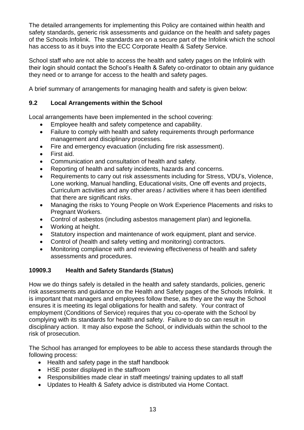The detailed arrangements for implementing this Policy are contained within health and safety standards, generic risk assessments and guidance on the health and safety pages of the Schools Infolink. The standards are on a secure part of the Infolink which the school has access to as it buys into the ECC Corporate Health & Safety Service.

School staff who are not able to access the health and safety pages on the Infolink with their login should contact the School's Health & Safety co-ordinator to obtain any guidance they need or to arrange for access to the health and safety pages.

A brief summary of arrangements for managing health and safety is given below:

#### **9.2 Local Arrangements within the School**

Local arrangements have been implemented in the school covering:

- Employee health and safety competence and capability.
- Failure to comply with health and safety requirements through performance management and disciplinary processes.
- Fire and emergency evacuation (including fire risk assessment).
- First aid.
- Communication and consultation of health and safety.
- Reporting of health and safety incidents, hazards and concerns.
- Requirements to carry out risk assessments including for Stress, VDU's, Violence, Lone working, Manual handling, Educational visits, One off events and projects, Curriculum activities and any other areas / activities where it has been identified that there are significant risks.
- Managing the risks to Young People on Work Experience Placements and risks to Pregnant Workers.
- Control of asbestos (including asbestos management plan) and legionella.
- Working at height.
- Statutory inspection and maintenance of work equipment, plant and service.
- Control of (health and safety vetting and monitoring) contractors.
- Monitoring compliance with and reviewing effectiveness of health and safety assessments and procedures.

# **10909.3 Health and Safety Standards (Status)**

How we do things safely is detailed in the health and safety standards, policies, generic risk assessments and guidance on the Health and Safety pages of the Schools Infolink. It is important that managers and employees follow these, as they are the way the School ensures it is meeting its legal obligations for health and safety. Your contract of employment (Conditions of Service) requires that you co-operate with the School by complying with its standards for health and safety. Failure to do so can result in disciplinary action. It may also expose the School, or individuals within the school to the risk of prosecution.

The School has arranged for employees to be able to access these standards through the following process:

- Health and safety page in the staff handbook
- HSE poster displayed in the staffroom
- Responsibilities made clear in staff meetings/ training updates to all staff
- Updates to Health & Safety advice is distributed via Home Contact.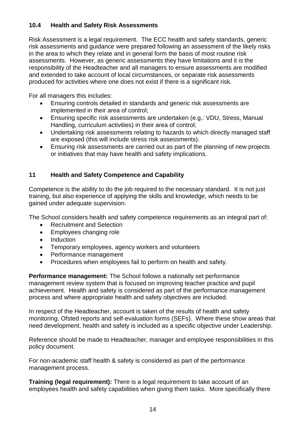#### **10.4 Health and Safety Risk Assessments**

Risk Assessment is a legal requirement. The ECC health and safety standards, generic risk assessments and guidance were prepared following an assessment of the likely risks in the area to which they relate and in general form the basis of most routine risk assessments. However, as generic assessments they have limitations and it is the responsibility of the Headteacher and all managers to ensure assessments are modified and extended to take account of local circumstances, or separate risk assessments produced for activities where one does not exist if there is a significant risk.

For all managers this includes:

- Ensuring controls detailed in standards and generic risk assessments are implemented in their area of control;
- Ensuring specific risk assessments are undertaken (e.g.: VDU, Stress, Manual Handling, curriculum activities) in their area of control;
- Undertaking risk assessments relating to hazards to which directly managed staff are exposed (this will include stress risk assessments).
- Ensuring risk assessments are carried out as part of the planning of new projects or initiatives that may have health and safety implications.

#### **11 Health and Safety Competence and Capability**

Competence is the ability to do the job required to the necessary standard. It is not just training, but also experience of applying the skills and knowledge, which needs to be gained under adequate supervision.

The School considers health and safety competence requirements as an integral part of:

- Recruitment and Selection
- Employees changing role
- Induction
- Temporary employees, agency workers and volunteers
- Performance management
- Procedures when employees fail to perform on health and safety.

**Performance management:** The School follows a nationally set performance management review system that is focused on improving teacher practice and pupil achievement. Health and safety is considered as part of the performance management process and where appropriate health and safety objectives are included.

In respect of the Headteacher, account is taken of the results of health and safety monitoring, Ofsted reports and self-evaluation forms (SEFs). Where these show areas that need development, health and safety is included as a specific objective under Leadership.

Reference should be made to Headteacher, manager and employee responsibilities in this policy document.

For non-academic staff health & safety is considered as part of the performance management process.

**Training (legal requirement):** There is a legal requirement to take account of an employees health and safety capabilities when giving them tasks. More specifically there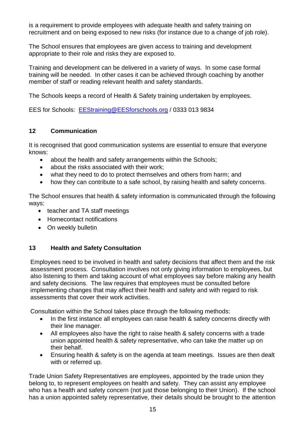is a requirement to provide employees with adequate health and safety training on recruitment and on being exposed to new risks (for instance due to a change of job role).

The School ensures that employees are given access to training and development appropriate to their role and risks they are exposed to.

Training and development can be delivered in a variety of ways. In some case formal training will be needed. In other cases it can be achieved through coaching by another member of staff or reading relevant health and safety standards.

The Schools keeps a record of Health & Safety training undertaken by employees.

EES for Schools: [EEStraining@EESforschools.org](mailto:EEStraining@EESforschools.org) / 0333 013 9834

# **12 Communication**

It is recognised that good communication systems are essential to ensure that everyone knows:

- about the health and safety arrangements within the Schools;
- about the risks associated with their work;
- what they need to do to protect themselves and others from harm; and
- how they can contribute to a safe school, by raising health and safety concerns.

The School ensures that health & safety information is communicated through the following ways:

- teacher and TA staff meetings
- Homecontact notifications
- On weekly bulletin

# **13 Health and Safety Consultation**

Employees need to be involved in health and safety decisions that affect them and the risk assessment process. Consultation involves not only giving information to employees, but also listening to them and taking account of what employees say before making any health and safety decisions. The law requires that employees must be consulted before implementing changes that may affect their health and safety and with regard to risk assessments that cover their work activities.

Consultation within the School takes place through the following methods:

- In the first instance all employees can raise health & safety concerns directly with their line manager.
- All employees also have the right to raise health & safety concerns with a trade union appointed health & safety representative, who can take the matter up on their behalf.
- Ensuring health & safety is on the agenda at team meetings. Issues are then dealt with or referred up.

Trade Union Safety Representatives are employees, appointed by the trade union they belong to, to represent employees on health and safety. They can assist any employee who has a health and safety concern (not just those belonging to their Union). If the school has a union appointed safety representative, their details should be brought to the attention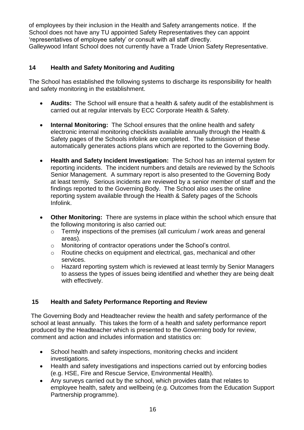of employees by their inclusion in the Health and Safety arrangements notice. If the School does not have any TU appointed Safety Representatives they can appoint 'representatives of employee safety' or consult with all staff directly. Galleywood Infant School does not currently have a Trade Union Safety Representative.

#### **14 Health and Safety Monitoring and Auditing**

The School has established the following systems to discharge its responsibility for health and safety monitoring in the establishment.

- **Audits:** The School will ensure that a health & safety audit of the establishment is carried out at regular intervals by ECC Corporate Health & Safety.
- **Internal Monitoring:** The School ensures that the online health and safety electronic internal monitoring checklists available annually through the Health & Safety pages of the Schools infolink are completed. The submission of these automatically generates actions plans which are reported to the Governing Body.
- **Health and Safety Incident Investigation:** The School has an internal system for reporting incidents. The incident numbers and details are reviewed by the Schools Senior Management. A summary report is also presented to the Governing Body at least termly. Serious incidents are reviewed by a senior member of staff and the findings reported to the Governing Body. The School also uses the online reporting system available through the Health & Safety pages of the Schools Infolink.
- **Other Monitoring:** There are systems in place within the school which ensure that the following monitoring is also carried out:
	- o Termly inspections of the premises (all curriculum / work areas and general areas).
	- o Monitoring of contractor operations under the School's control.
	- o Routine checks on equipment and electrical, gas, mechanical and other services.
	- o Hazard reporting system which is reviewed at least termly by Senior Managers to assess the types of issues being identified and whether they are being dealt with effectively.

# **15 Health and Safety Performance Reporting and Review**

The Governing Body and Headteacher review the health and safety performance of the school at least annually. This takes the form of a health and safety performance report produced by the Headteacher which is presented to the Governing body for review, comment and action and includes information and statistics on:

- School health and safety inspections, monitoring checks and incident investigations.
- Health and safety investigations and inspections carried out by enforcing bodies (e.g. HSE, Fire and Rescue Service, Environmental Health).
- Any surveys carried out by the school, which provides data that relates to employee health, safety and wellbeing (e.g. Outcomes from the Education Support Partnership programme).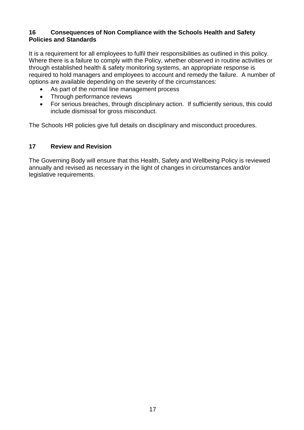#### **16 Consequences of Non Compliance with the Schools Health and Safety Policies and Standards**

It is a requirement for all employees to fulfil their responsibilities as outlined in this policy. Where there is a failure to comply with the Policy, whether observed in routine activities or through established health & safety monitoring systems, an appropriate response is required to hold managers and employees to account and remedy the failure. A number of options are available depending on the severity of the circumstances:

- As part of the normal line management process
- Through performance reviews
- For serious breaches, through disciplinary action. If sufficiently serious, this could include dismissal for gross misconduct.

The Schools HR policies give full details on disciplinary and misconduct procedures.

#### **17 Review and Revision**

The Governing Body will ensure that this Health, Safety and Wellbeing Policy is reviewed annually and revised as necessary in the light of changes in circumstances and/or legislative requirements.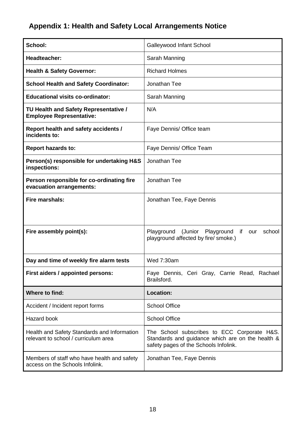# **Appendix 1: Health and Safety Local Arrangements Notice**

| School:                                                                             | Galleywood Infant School                                                                                                                 |  |
|-------------------------------------------------------------------------------------|------------------------------------------------------------------------------------------------------------------------------------------|--|
| Headteacher:                                                                        | Sarah Manning                                                                                                                            |  |
| <b>Health &amp; Safety Governor:</b>                                                | <b>Richard Holmes</b>                                                                                                                    |  |
| <b>School Health and Safety Coordinator:</b>                                        | Jonathan Tee                                                                                                                             |  |
| <b>Educational visits co-ordinator:</b>                                             | Sarah Manning                                                                                                                            |  |
| TU Health and Safety Representative /<br><b>Employee Representative:</b>            | N/A                                                                                                                                      |  |
| Report health and safety accidents /<br>incidents to:                               | Faye Dennis/ Office team                                                                                                                 |  |
| <b>Report hazards to:</b>                                                           | Faye Dennis/ Office Team                                                                                                                 |  |
| Person(s) responsible for undertaking H&S<br>inspections:                           | Jonathan Tee                                                                                                                             |  |
| Person responsible for co-ordinating fire<br>evacuation arrangements:               | Jonathan Tee                                                                                                                             |  |
| Fire marshals:                                                                      | Jonathan Tee, Faye Dennis                                                                                                                |  |
|                                                                                     |                                                                                                                                          |  |
| Fire assembly point(s):                                                             | Playground (Junior<br>Playground<br>school<br>if.<br>our<br>playground affected by fire/ smoke.)                                         |  |
| Day and time of weekly fire alarm tests                                             | Wed 7:30am                                                                                                                               |  |
| First aiders / appointed persons:                                                   | Faye Dennis, Ceri Gray, Carrie Read, Rachael<br>Brailsford.                                                                              |  |
| Where to find:                                                                      | <b>Location:</b>                                                                                                                         |  |
| Accident / Incident report forms                                                    | <b>School Office</b>                                                                                                                     |  |
| <b>Hazard book</b>                                                                  | <b>School Office</b>                                                                                                                     |  |
| Health and Safety Standards and Information<br>relevant to school / curriculum area | The School subscribes to ECC Corporate H&S.<br>Standards and guidance which are on the health &<br>safety pages of the Schools Infolink. |  |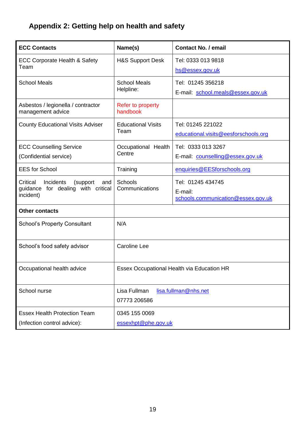# **Appendix 2: Getting help on health and safety**

| <b>ECC Contacts</b>                                                                          | Name(s)                                              | <b>Contact No. / email</b>                                         |  |
|----------------------------------------------------------------------------------------------|------------------------------------------------------|--------------------------------------------------------------------|--|
| <b>ECC Corporate Health &amp; Safety</b><br>Team                                             | <b>H&amp;S Support Desk</b>                          | Tel: 0333 013 9818<br>hs@essex.gov.uk                              |  |
| <b>School Meals</b>                                                                          | <b>School Meals</b><br>Helpline:                     | Tel: 01245 356218<br>E-mail: school.meals@essex.gov.uk             |  |
| Asbestos / legionella / contractor<br>management advice                                      | Refer to property<br>handbook                        |                                                                    |  |
| <b>County Educational Visits Adviser</b>                                                     | <b>Educational Visits</b><br>Team                    | Tel: 01245 221022<br>educational.visits@eesforschools.org          |  |
| <b>ECC Counselling Service</b><br>(Confidential service)                                     | Occupational Health<br>Centre                        | Tel: 0333 013 3267<br>E-mail: counselling@essex.gov.uk             |  |
| <b>EES</b> for School                                                                        | Training                                             | enquiries@EESforschools.org                                        |  |
| Critical<br>Incidents<br>(support)<br>and<br>guidance for dealing with critical<br>incident) | <b>Schools</b><br>Communications                     | Tel: 01245 434745<br>E-mail:<br>schools.communication@essex.gov.uk |  |
| <b>Other contacts</b>                                                                        |                                                      |                                                                    |  |
| <b>School's Property Consultant</b>                                                          | N/A                                                  |                                                                    |  |
| School's food safety advisor                                                                 | <b>Caroline Lee</b>                                  |                                                                    |  |
| Occupational health advice                                                                   |                                                      | Essex Occupational Health via Education HR                         |  |
| School nurse                                                                                 | Lisa Fullman<br>lisa.fullman@nhs.net<br>07773 206586 |                                                                    |  |
| <b>Essex Health Protection Team</b>                                                          | 0345 155 0069                                        |                                                                    |  |
| (Infection control advice):                                                                  | essexhpt@phe.gov.uk                                  |                                                                    |  |